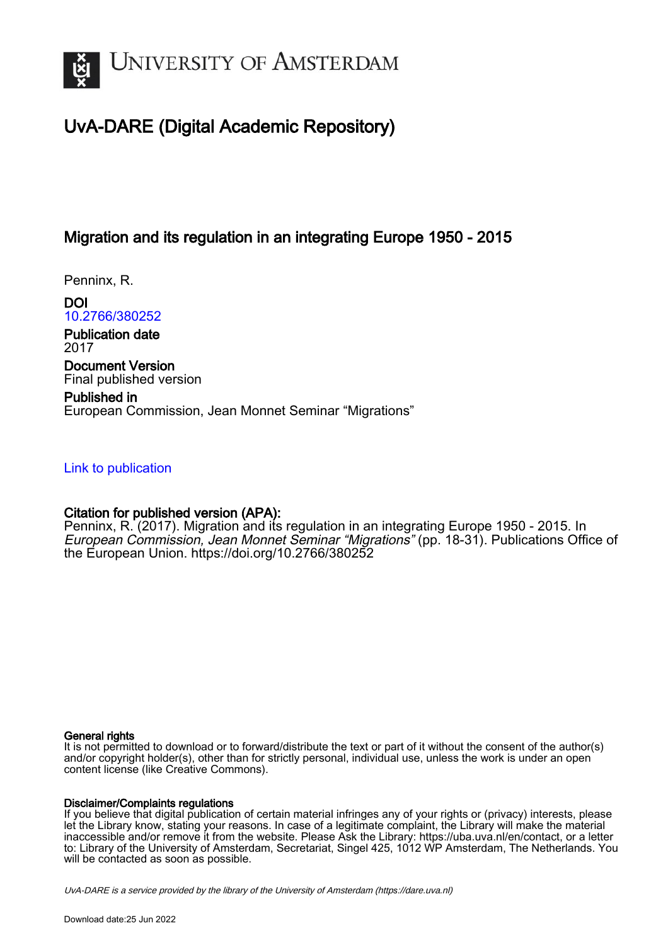

# UvA-DARE (Digital Academic Repository)

### Migration and its regulation in an integrating Europe 1950 - 2015

Penninx, R.

DOI [10.2766/380252](https://doi.org/10.2766/380252)

Publication date 2017

Document Version Final published version

Published in European Commission, Jean Monnet Seminar "Migrations"

#### [Link to publication](https://dare.uva.nl/personal/pure/en/publications/migration-and-its-regulation-in-an-integrating-europe-1950--2015(06690fb5-19e8-40b5-8ae4-a4c4e4cc3c42).html)

#### Citation for published version (APA):

Penninx, R. (2017). Migration and its regulation in an integrating Europe 1950 - 2015. In European Commission, Jean Monnet Seminar "Migrations" (pp. 18-31). Publications Office of the European Union.<https://doi.org/10.2766/380252>

#### General rights

It is not permitted to download or to forward/distribute the text or part of it without the consent of the author(s) and/or copyright holder(s), other than for strictly personal, individual use, unless the work is under an open content license (like Creative Commons).

#### Disclaimer/Complaints regulations

If you believe that digital publication of certain material infringes any of your rights or (privacy) interests, please let the Library know, stating your reasons. In case of a legitimate complaint, the Library will make the material inaccessible and/or remove it from the website. Please Ask the Library: https://uba.uva.nl/en/contact, or a letter to: Library of the University of Amsterdam, Secretariat, Singel 425, 1012 WP Amsterdam, The Netherlands. You will be contacted as soon as possible.

UvA-DARE is a service provided by the library of the University of Amsterdam (http*s*://dare.uva.nl)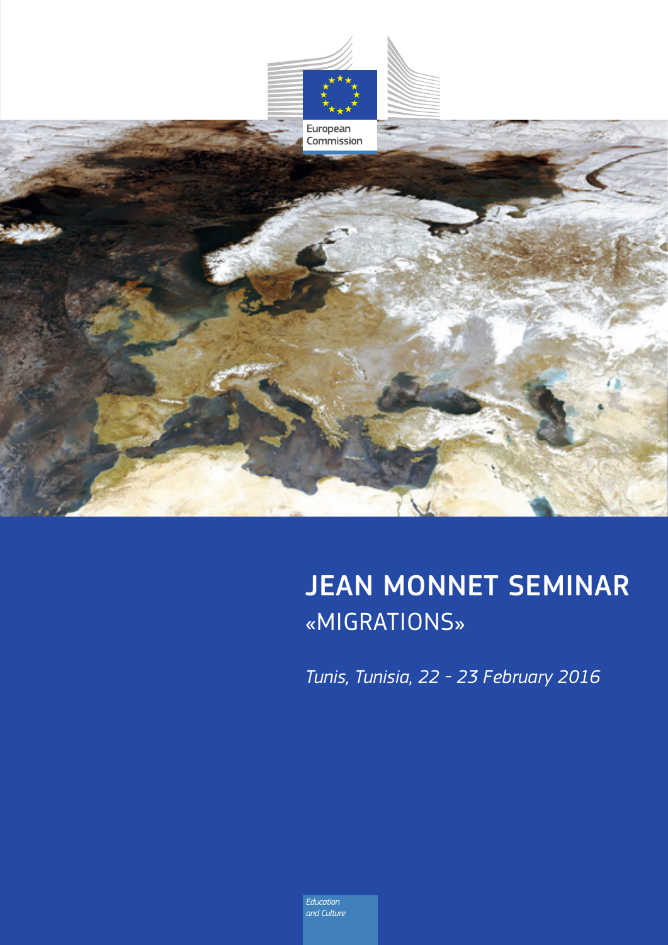

# JEAN MONNET SEMINAR «MIGRATIONS»

*Tunis, Tunisia, 22 - 23 February 2016*

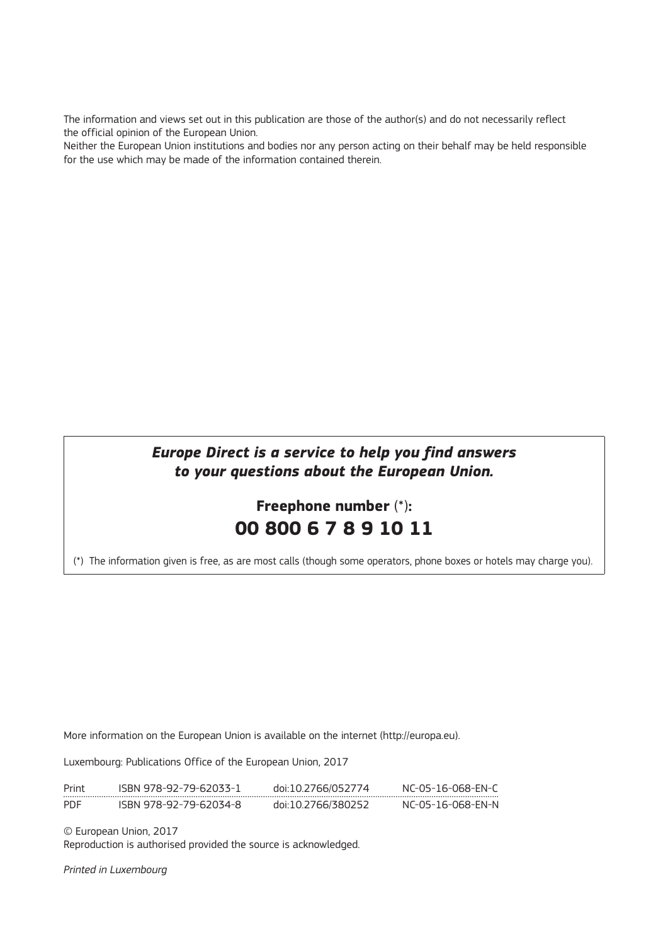The information and views set out in this publication are those of the author(s) and do not necessarily reflect the official opinion of the European Union.

Neither the European Union institutions and bodies nor any person acting on their behalf may be held responsible for the use which may be made of the information contained therein.

#### *Europe Direct is a service to help you find answers to your questions about the European Union.*

# **Freephone number** (\*)**: 00 800 6 7 8 9 10 11**

(\*) The information given is free, as are most calls (though some operators, phone boxes or hotels may charge you).

More information on the European Union is available on the internet (<http://europa.eu>).

Luxembourg: Publications Office of the European Union, 2017

| Print | ISBN 978-92-79-62033-1 | doi:10.2766/052774 | NC-05-16-068-FN-C |
|-------|------------------------|--------------------|-------------------|
| PDF   | ISBN 978-92-79-62034-8 | doi:10.2766/380252 | NC-05-16-068-FN-N |

© European Union, 2017

Reproduction is authorised provided the source is acknowledged.

*Printed in Luxembourg*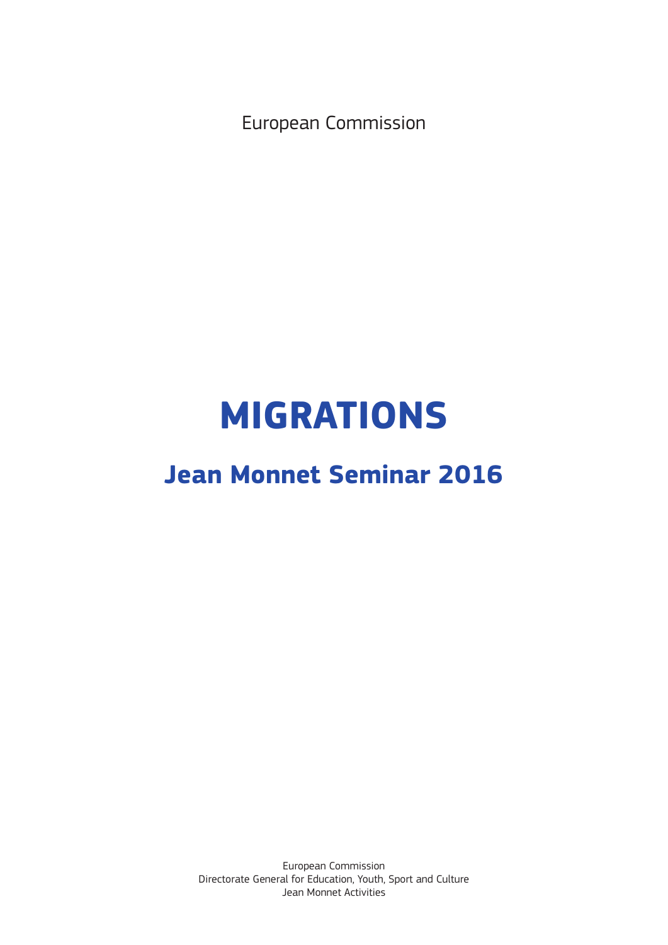European Commission

# **MIGRATIONS**

# **Jean Monnet Seminar 2016**

European Commission Directorate General for Education, Youth, Sport and Culture Jean Monnet Activities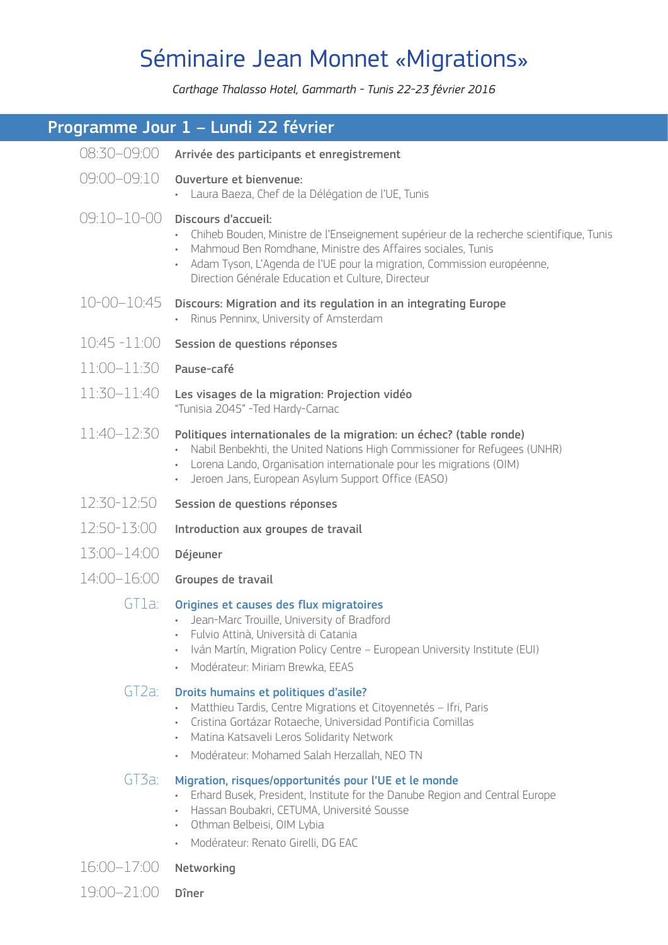# Séminaire Jean Monnet «Migrations»

*Carthage Thalasso Hotel, Gammarth - Tunis 22-23 février 2016*

|                 | Programme Jour 1 - Lundi 22 février                                                                                                                                                                                                                                                                             |
|-----------------|-----------------------------------------------------------------------------------------------------------------------------------------------------------------------------------------------------------------------------------------------------------------------------------------------------------------|
| 08:30-09:00     | Arrivée des participants et enregistrement                                                                                                                                                                                                                                                                      |
| 09:00-09:10     | Ouverture et bienvenue:<br>· Laura Baeza, Chef de la Délégation de l'UE, Tunis                                                                                                                                                                                                                                  |
| 09:10-10-00     | Discours d'accueil:<br>· Chiheb Bouden, Ministre de l'Enseignement supérieur de la recherche scientifique, Tunis<br>Mahmoud Ben Romdhane, Ministre des Affaires sociales, Tunis<br>Adam Tyson, L'Agenda de l'UE pour la migration, Commission européenne,<br>Direction Générale Education et Culture, Directeur |
|                 | $10-00-10:45$ Discours: Migration and its regulation in an integrating Europe<br>· Rinus Penninx, University of Amsterdam                                                                                                                                                                                       |
| 10:45 -11:00    | Session de questions réponses                                                                                                                                                                                                                                                                                   |
| $11:00 - 11:30$ | Pause-café                                                                                                                                                                                                                                                                                                      |
| $11:30 - 11:40$ | Les visages de la migration: Projection vidéo<br>"Tunisia 2045" -Ted Hardy-Carnac                                                                                                                                                                                                                               |
| 11:40–12:30     | Politiques internationales de la migration: un échec? (table ronde)<br>• Nabil Benbekhti, the United Nations High Commissioner for Refugees (UNHR)<br>• Lorena Lando, Organisation internationale pour les migrations (OIM)<br>Jeroen Jans, European Asylum Support Office (EASO)                               |
| 12:30-12:50     | Session de questions réponses                                                                                                                                                                                                                                                                                   |
| 12:50-13:00     | Introduction aux groupes de travail                                                                                                                                                                                                                                                                             |
| 13:00-14:00     | Déjeuner                                                                                                                                                                                                                                                                                                        |
| 14:00-16:00     | Groupes de travail                                                                                                                                                                                                                                                                                              |
| GT1a:           | Origines et causes des flux migratoires<br>Jean-Marc Trouille, University of Bradford<br>Fulvio Attinà, Università di Catania<br>Iván Martín, Migration Policy Centre - European University Institute (EUI)<br>Modérateur: Miriam Brewka, EEAS<br>$\bullet$                                                     |
| GT2a:           | Droits humains et politiques d'asile?<br>Matthieu Tardis, Centre Migrations et Citoyennetés - Ifri, Paris<br>$\bullet$ .<br>Cristina Gortázar Rotaeche, Universidad Pontificia Comillas<br>Matina Katsaveli Leros Solidarity Network<br>· Modérateur: Mohamed Salah Herzallah, NEO TN                           |
| GT3a:           | Migration, risques/opportunités pour l'UE et le monde<br>Erhard Busek, President, Institute for the Danube Region and Central Europe<br>$\bullet$ .<br>Hassan Boubakri, CETUMA, Université Sousse<br>Othman Belbeisi, OIM Lybia<br>Modérateur: Renato Girelli, DG EAC                                           |

16:00–17:00 Networking

19:00–21:00 Dîner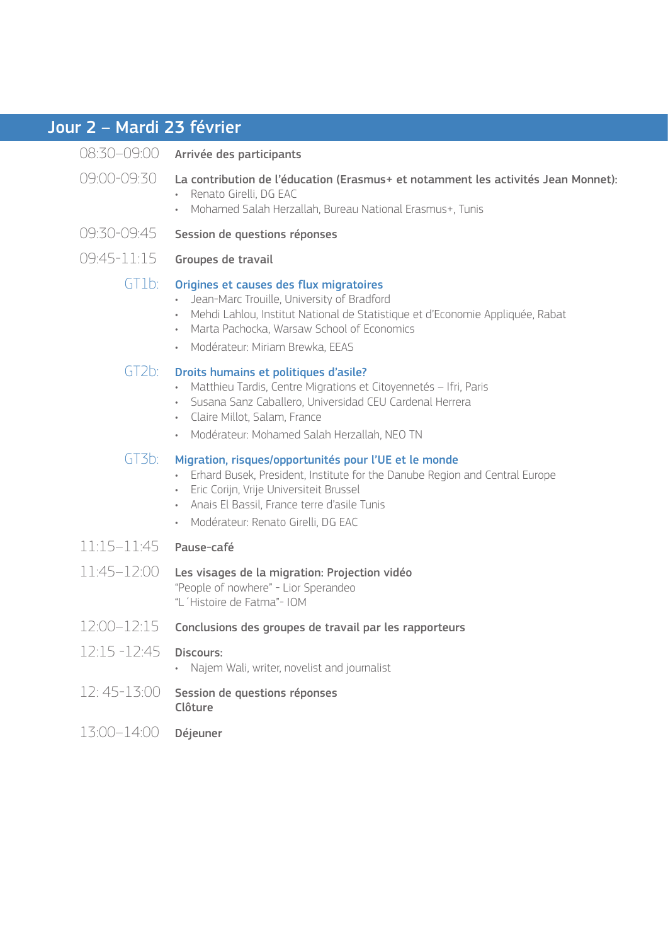# Jour 2 – Mardi 23 février

|                            | 08:30-09:00 Arrivée des participants                                                                                                                                                                                                                                                  |
|----------------------------|---------------------------------------------------------------------------------------------------------------------------------------------------------------------------------------------------------------------------------------------------------------------------------------|
| 09:00-09:30                | La contribution de l'éducation (Erasmus+ et notamment les activités Jean Monnet):<br>· Renato Girelli, DG EAC<br>Mohamed Salah Herzallah, Bureau National Erasmus+, Tunis                                                                                                             |
| 09:30-09:45                | Session de questions réponses                                                                                                                                                                                                                                                         |
| 09:45-11:15                | Groupes de travail                                                                                                                                                                                                                                                                    |
| GT1b:                      | Origines et causes des flux migratoires<br>Jean-Marc Trouille, University of Bradford<br>· Mehdi Lahlou, Institut National de Statistique et d'Economie Appliquée, Rabat<br>• Marta Pachocka, Warsaw School of Economics<br>· Modérateur: Miriam Brewka, EEAS                         |
| GT2b:                      | Droits humains et politiques d'asile?<br>Matthieu Tardis, Centre Migrations et Citoyennetés - Ifri, Paris<br>$\bullet$<br>· Susana Sanz Caballero, Universidad CEU Cardenal Herrera<br>· Claire Millot, Salam, France<br>· Modérateur: Mohamed Salah Herzallah, NEO TN                |
| GT3b:                      | Migration, risques/opportunités pour l'UE et le monde<br>Erhard Busek, President, Institute for the Danube Region and Central Europe<br>$\bullet$<br>· Eric Corijn, Vrije Universiteit Brussel<br>Anais El Bassil, France terre d'asile Tunis<br>· Modérateur: Renato Girelli, DG EAC |
| $11:15 - 11:45$ Pause-café |                                                                                                                                                                                                                                                                                       |
| 11:45-12:00                | Les visages de la migration: Projection vidéo<br>"People of nowhere" - Lior Sperandeo<br>"L'Histoire de Fatma"- IOM                                                                                                                                                                   |
| 12:00-12:15                | Conclusions des groupes de travail par les rapporteurs                                                                                                                                                                                                                                |
| 12:15 -12:45               | Discours:<br>Najem Wali, writer, novelist and journalist                                                                                                                                                                                                                              |
| 12: 45-13:00               | Session de questions réponses<br>Clôture                                                                                                                                                                                                                                              |
| 13:00-14:00                | Déjeuner                                                                                                                                                                                                                                                                              |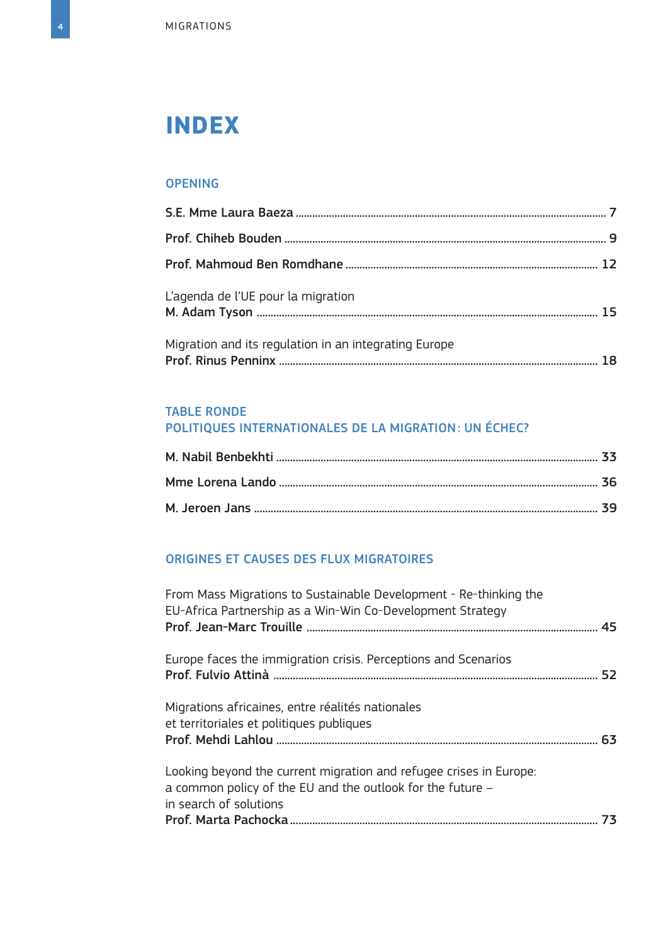# **INDEX**

#### [OPENING](#page--1-0)

| L'agenda de l'UE pour la migration                    |  |
|-------------------------------------------------------|--|
| Migration and its regulation in an integrating Europe |  |

#### [TABLE RONDE](#page--1-0) [POLITIQUES INTERNATIONALES DE LA MIGRATION: UN ÉCHEC?](#page--1-0)

#### [ORIGINES ET CAUSES DES FLUX MIGRATOIRES](#page--1-0)

| From Mass Migrations to Sustainable Development - Re-thinking the<br>EU-Africa Partnership as a Win-Win Co-Development Strategy                            |    |
|------------------------------------------------------------------------------------------------------------------------------------------------------------|----|
| Europe faces the immigration crisis. Perceptions and Scenarios                                                                                             |    |
| Migrations africaines, entre réalités nationales<br>et territoriales et politiques publiques                                                               |    |
| Looking beyond the current migration and refugee crises in Europe:<br>a common policy of the EU and the outlook for the future -<br>in search of solutions |    |
|                                                                                                                                                            | 73 |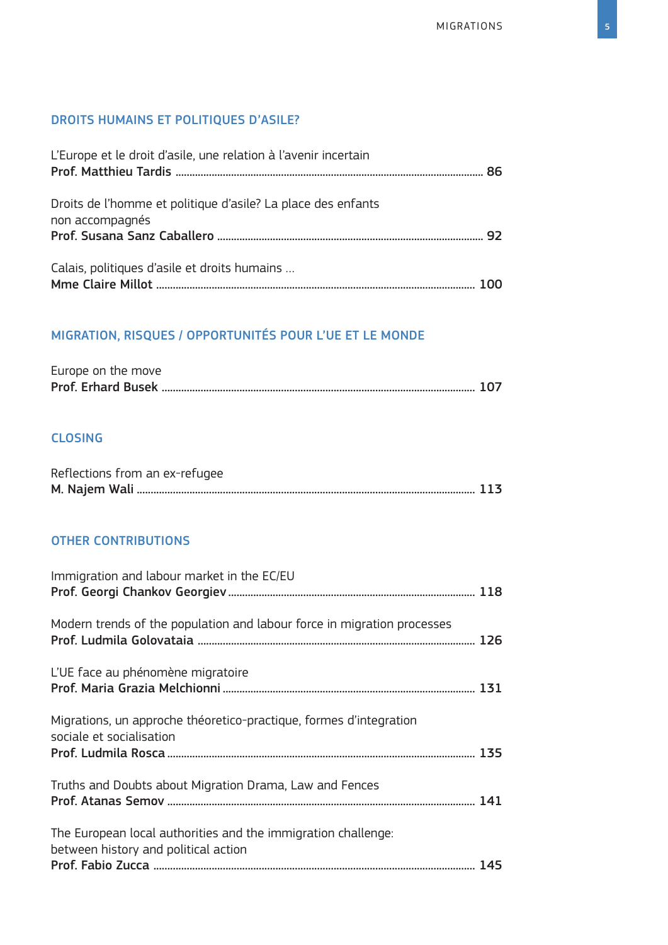### [DROITS HUMAINS ET POLITIQUES D'ASILE?](#page--1-0)

| L'Europe et le droit d'asile, une relation à l'avenir incertain |  |
|-----------------------------------------------------------------|--|
| Droits de l'homme et politique d'asile? La place des enfants    |  |
| non accompagnés                                                 |  |
| Calais, politiques d'asile et droits humains                    |  |

### [MIGRATION, RISQUES / OPPORTUNITÉS POUR L'UE ET LE MONDE](#page--1-0)

| Europe on the move |  |
|--------------------|--|
|                    |  |

#### [CLOSING](#page--1-0)

| Reflections from an ex-refugee |  |
|--------------------------------|--|
|                                |  |

#### [OTHER CONTRIBUTIONS](#page--1-0)

| Immigration and labour market in the EC/EU                                                            |  |
|-------------------------------------------------------------------------------------------------------|--|
| Modern trends of the population and labour force in migration processes                               |  |
| L'UE face au phénomène migratoire                                                                     |  |
| Migrations, un approche théoretico-practique, formes d'integration<br>sociale et socialisation        |  |
| Truths and Doubts about Migration Drama, Law and Fences                                               |  |
| The European local authorities and the immigration challenge:<br>between history and political action |  |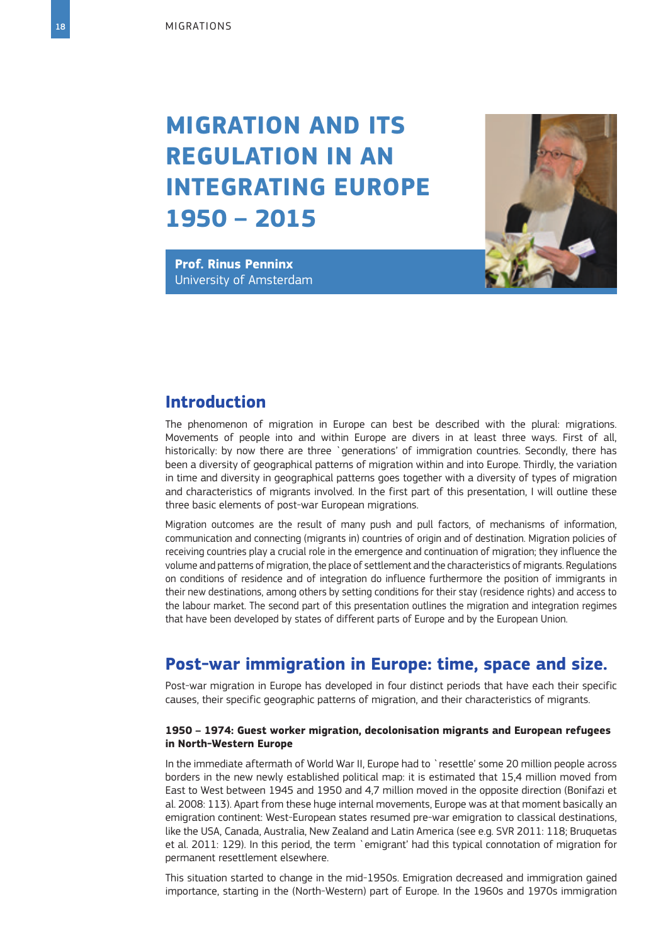# <span id="page-8-0"></span>**MIGRATION AND ITS REGULATION IN AN INTEGRATING EUROPE 1950 – 2015**



**Prof. Rinus Penninx** University of Amsterdam

### **Introduction**

The phenomenon of migration in Europe can best be described with the plural: migrations. Movements of people into and within Europe are divers in at least three ways. First of all, historically: by now there are three `generations' of immigration countries. Secondly, there has been a diversity of geographical patterns of migration within and into Europe. Thirdly, the variation in time and diversity in geographical patterns goes together with a diversity of types of migration and characteristics of migrants involved. In the first part of this presentation, I will outline these three basic elements of post-war European migrations.

Migration outcomes are the result of many push and pull factors, of mechanisms of information, communication and connecting (migrants in) countries of origin and of destination. Migration policies of receiving countries play a crucial role in the emergence and continuation of migration; they influence the volume and patterns of migration, the place of settlement and the characteristics of migrants. Regulations on conditions of residence and of integration do influence furthermore the position of immigrants in their new destinations, among others by setting conditions for their stay (residence rights) and access to the labour market. The second part of this presentation outlines the migration and integration regimes that have been developed by states of different parts of Europe and by the European Union.

### **Post-war immigration in Europe: time, space and size.**

Post-war migration in Europe has developed in four distinct periods that have each their specific causes, their specific geographic patterns of migration, and their characteristics of migrants.

#### **1950 – 1974: Guest worker migration, decolonisation migrants and European refugees in North-Western Europe**

In the immediate aftermath of World War II, Europe had to `resettle' some 20 million people across borders in the new newly established political map: it is estimated that 15,4 million moved from East to West between 1945 and 1950 and 4,7 million moved in the opposite direction (Bonifazi et al. 2008: 113). Apart from these huge internal movements, Europe was at that moment basically an emigration continent: West-European states resumed pre-war emigration to classical destinations, like the USA, Canada, Australia, New Zealand and Latin America (see e.g. SVR 2011: 118; Bruquetas et al. 2011: 129). In this period, the term `emigrant' had this typical connotation of migration for permanent resettlement elsewhere.

This situation started to change in the mid-1950s. Emigration decreased and immigration gained importance, starting in the (North-Western) part of Europe. In the 1960s and 1970s immigration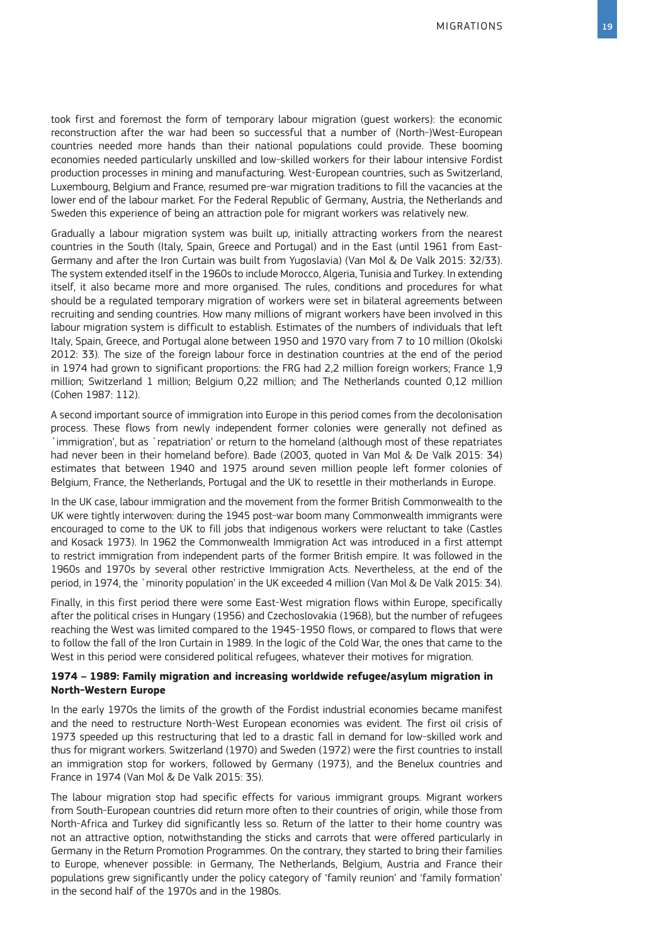took first and foremost the form of temporary labour migration (guest workers): the economic reconstruction after the war had been so successful that a number of (North-)West-European countries needed more hands than their national populations could provide. These booming economies needed particularly unskilled and low-skilled workers for their labour intensive Fordist production processes in mining and manufacturing. West-European countries, such as Switzerland, Luxembourg, Belgium and France, resumed pre-war migration traditions to fill the vacancies at the lower end of the labour market. For the Federal Republic of Germany, Austria, the Netherlands and Sweden this experience of being an attraction pole for migrant workers was relatively new.

Gradually a labour migration system was built up, initially attracting workers from the nearest countries in the South (Italy, Spain, Greece and Portugal) and in the East (until 1961 from East-Germany and after the Iron Curtain was built from Yugoslavia) (Van Mol & De Valk 2015: 32/33). The system extended itself in the 1960s to include Morocco, Algeria, Tunisia and Turkey. In extending itself, it also became more and more organised. The rules, conditions and procedures for what should be a regulated temporary migration of workers were set in bilateral agreements between recruiting and sending countries. How many millions of migrant workers have been involved in this labour migration system is difficult to establish. Estimates of the numbers of individuals that left Italy, Spain, Greece, and Portugal alone between 1950 and 1970 vary from 7 to 10 million (Okolski 2012: 33). The size of the foreign labour force in destination countries at the end of the period in 1974 had grown to significant proportions: the FRG had 2,2 million foreign workers; France 1,9 million; Switzerland 1 million; Belgium 0,22 million; and The Netherlands counted 0,12 million (Cohen 1987: 112).

A second important source of immigration into Europe in this period comes from the decolonisation process. These flows from newly independent former colonies were generally not defined as `immigration', but as `repatriation' or return to the homeland (although most of these repatriates had never been in their homeland before). Bade (2003, quoted in Van Mol & De Valk 2015: 34) estimates that between 1940 and 1975 around seven million people left former colonies of Belgium, France, the Netherlands, Portugal and the UK to resettle in their motherlands in Europe.

In the UK case, labour immigration and the movement from the former British Commonwealth to the UK were tightly interwoven: during the 1945 post-war boom many Commonwealth immigrants were encouraged to come to the UK to fill jobs that indigenous workers were reluctant to take (Castles and Kosack 1973). In 1962 the Commonwealth Immigration Act was introduced in a first attempt to restrict immigration from independent parts of the former British empire. It was followed in the 1960s and 1970s by several other restrictive Immigration Acts. Nevertheless, at the end of the period, in 1974, the `minority population' in the UK exceeded 4 million (Van Mol & De Valk 2015: 34).

Finally, in this first period there were some East-West migration flows within Europe, specifically after the political crises in Hungary (1956) and Czechoslovakia (1968), but the number of refugees reaching the West was limited compared to the 1945-1950 flows, or compared to flows that were to follow the fall of the Iron Curtain in 1989. In the logic of the Cold War, the ones that came to the West in this period were considered political refugees, whatever their motives for migration.

#### **1974 – 1989: Family migration and increasing worldwide refugee/asylum migration in North-Western Europe**

In the early 1970s the limits of the growth of the Fordist industrial economies became manifest and the need to restructure North-West European economies was evident. The first oil crisis of 1973 speeded up this restructuring that led to a drastic fall in demand for low-skilled work and thus for migrant workers. Switzerland (1970) and Sweden (1972) were the first countries to install an immigration stop for workers, followed by Germany (1973), and the Benelux countries and France in 1974 (Van Mol & De Valk 2015: 35).

The labour migration stop had specific effects for various immigrant groups. Migrant workers from South-European countries did return more often to their countries of origin, while those from North-Africa and Turkey did significantly less so. Return of the latter to their home country was not an attractive option, notwithstanding the sticks and carrots that were offered particularly in Germany in the Return Promotion Programmes. On the contrary, they started to bring their families to Europe, whenever possible: in Germany, The Netherlands, Belgium, Austria and France their populations grew significantly under the policy category of 'family reunion' and 'family formation' in the second half of the 1970s and in the 1980s.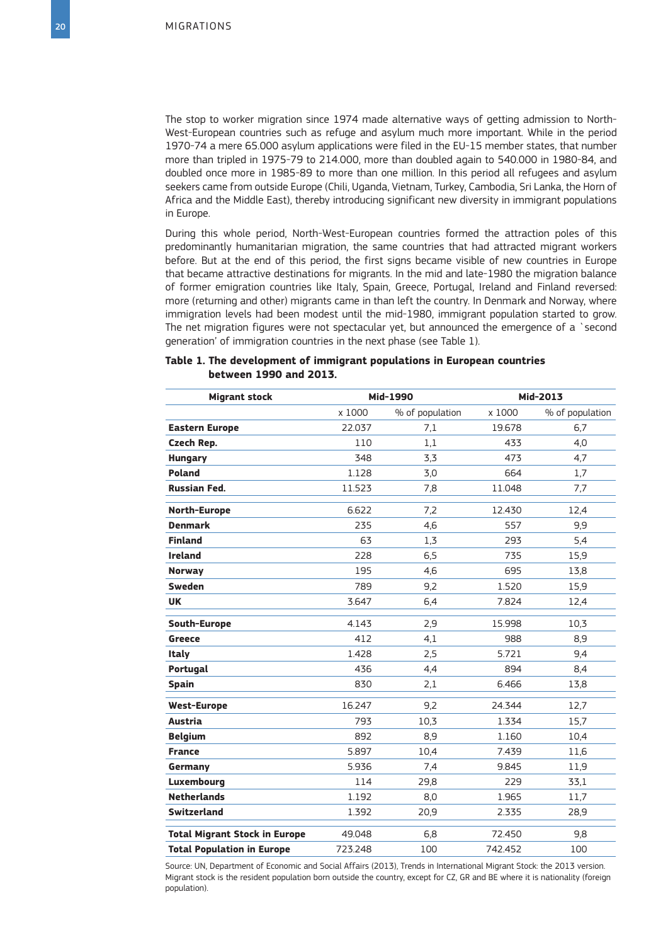The stop to worker migration since 1974 made alternative ways of getting admission to North-West-European countries such as refuge and asylum much more important. While in the period 1970-74 a mere 65.000 asylum applications were filed in the EU-15 member states, that number more than tripled in 1975-79 to 214.000, more than doubled again to 540.000 in 1980-84, and doubled once more in 1985-89 to more than one million. In this period all refugees and asylum seekers came from outside Europe (Chili, Uganda, Vietnam, Turkey, Cambodia, Sri Lanka, the Horn of Africa and the Middle East), thereby introducing significant new diversity in immigrant populations in Europe.

During this whole period, North-West-European countries formed the attraction poles of this predominantly humanitarian migration, the same countries that had attracted migrant workers before. But at the end of this period, the first signs became visible of new countries in Europe that became attractive destinations for migrants. In the mid and late-1980 the migration balance of former emigration countries like Italy, Spain, Greece, Portugal, Ireland and Finland reversed: more (returning and other) migrants came in than left the country. In Denmark and Norway, where immigration levels had been modest until the mid-1980, immigrant population started to grow. The net migration figures were not spectacular yet, but announced the emergence of a `second generation' of immigration countries in the next phase (see Table 1).

|  | between 1990 and 2013. |  | Table 1. The development of immigrant populations in European countries |  |
|--|------------------------|--|-------------------------------------------------------------------------|--|
|  |                        |  |                                                                         |  |

| <b>Migrant stock</b>                 |         | Mid-1990        | Mid-2013 |                 |
|--------------------------------------|---------|-----------------|----------|-----------------|
|                                      | x 1000  | % of population | x 1000   | % of population |
| <b>Eastern Europe</b>                | 22.037  | 7,1             | 19.678   | 6,7             |
| Czech Rep.                           | 110     | 1.1             | 433      | 4,0             |
| <b>Hungary</b>                       | 348     | 3,3             | 473      | 4,7             |
| <b>Poland</b>                        | 1.128   | 3,0             | 664      | 1,7             |
| <b>Russian Fed.</b>                  | 11.523  | 7,8             | 11.048   | 7,7             |
| North-Europe                         | 6.622   | 7,2             | 12.430   | 12,4            |
| <b>Denmark</b>                       | 235     | 4,6             | 557      | 9,9             |
| <b>Finland</b>                       | 63      | 1,3             | 293      | 5,4             |
| <b>Ireland</b>                       | 228     | 6,5             | 735      | 15,9            |
| <b>Norway</b>                        | 195     | 4,6             | 695      | 13,8            |
| <b>Sweden</b>                        | 789     | 9,2             | 1.520    | 15,9            |
| <b>UK</b>                            | 3.647   | 6,4             | 7.824    | 12,4            |
| South-Europe                         | 4.143   | 2,9             | 15.998   | 10,3            |
| <b>Greece</b>                        | 412     | 4,1             | 988      | 8,9             |
| <b>Italy</b>                         | 1.428   | 2,5             | 5.721    | 9,4             |
| Portugal                             | 436     | 4,4             | 894      | 8,4             |
| <b>Spain</b>                         | 830     | 2,1             | 6.466    | 13,8            |
| <b>West-Europe</b>                   | 16.247  | 9,2             | 24.344   | 12,7            |
| <b>Austria</b>                       | 793     | 10,3            | 1.334    | 15,7            |
| <b>Belgium</b>                       | 892     | 8,9             | 1.160    | 10,4            |
| <b>France</b>                        | 5.897   | 10,4            | 7.439    | 11,6            |
| Germany                              | 5.936   | 7,4             | 9.845    | 11.9            |
| Luxembourg                           | 114     | 29,8            | 229      | 33,1            |
| <b>Netherlands</b>                   | 1.192   | 8,0             | 1.965    | 11,7            |
| <b>Switzerland</b>                   | 1.392   | 20,9            | 2.335    | 28,9            |
| <b>Total Migrant Stock in Europe</b> | 49.048  | 6,8             | 72.450   | 9,8             |
| <b>Total Population in Europe</b>    | 723.248 | 100             | 742.452  | 100             |

Source: UN, Department of Economic and Social Affairs (2013), Trends in International Migrant Stock: the 2013 version. Migrant stock is the resident population born outside the country, except for CZ, GR and BE where it is nationality (foreign population).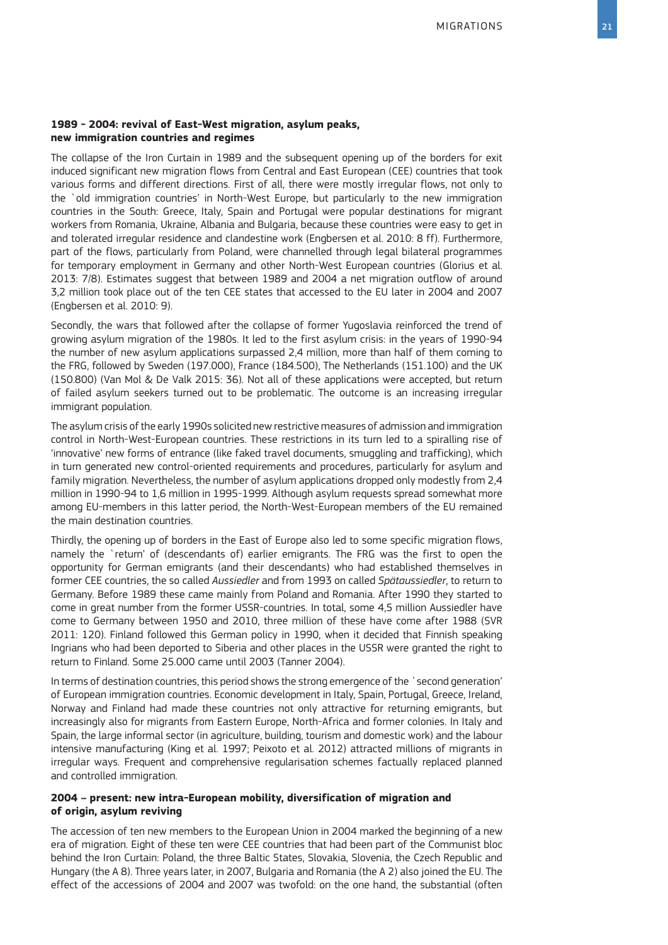#### **1989 - 2004: revival of East-West migration, asylum peaks, new immigration countries and regimes**

The collapse of the Iron Curtain in 1989 and the subsequent opening up of the borders for exit induced significant new migration flows from Central and East European (CEE) countries that took various forms and different directions. First of all, there were mostly irregular flows, not only to the `old immigration countries' in North-West Europe, but particularly to the new immigration countries in the South: Greece, Italy, Spain and Portugal were popular destinations for migrant workers from Romania, Ukraine, Albania and Bulgaria, because these countries were easy to get in and tolerated irregular residence and clandestine work (Engbersen et al. 2010: 8 ff). Furthermore, part of the flows, particularly from Poland, were channelled through legal bilateral programmes for temporary employment in Germany and other North-West European countries (Glorius et al. 2013: 7/8). Estimates suggest that between 1989 and 2004 a net migration outflow of around 3,2 million took place out of the ten CEE states that accessed to the EU later in 2004 and 2007 (Engbersen et al. 2010: 9).

Secondly, the wars that followed after the collapse of former Yugoslavia reinforced the trend of growing asylum migration of the 1980s. It led to the first asylum crisis: in the years of 1990-94 the number of new asylum applications surpassed 2,4 million, more than half of them coming to the FRG, followed by Sweden (197.000), France (184.500), The Netherlands (151.100) and the UK (150.800) (Van Mol & De Valk 2015: 36). Not all of these applications were accepted, but return of failed asylum seekers turned out to be problematic. The outcome is an increasing irregular immigrant population.

The asylum crisis of the early 1990s solicited new restrictive measures of admission and immigration control in North-West-European countries. These restrictions in its turn led to a spiralling rise of 'innovative' new forms of entrance (like faked travel documents, smuggling and trafficking), which in turn generated new control-oriented requirements and procedures, particularly for asylum and family migration. Nevertheless, the number of asylum applications dropped only modestly from 2,4 million in 1990-94 to 1,6 million in 1995-1999. Although asylum requests spread somewhat more among EU-members in this latter period, the North-West-European members of the EU remained the main destination countries.

Thirdly, the opening up of borders in the East of Europe also led to some specific migration flows, namely the `return' of (descendants of) earlier emigrants. The FRG was the first to open the opportunity for German emigrants (and their descendants) who had established themselves in former CEE countries, the so called *Aussiedler* and from 1993 on called *Spätaussiedler*, to return to Germany. Before 1989 these came mainly from Poland and Romania. After 1990 they started to come in great number from the former USSR-countries. In total, some 4,5 million Aussiedler have come to Germany between 1950 and 2010, three million of these have come after 1988 (SVR 2011: 120). Finland followed this German policy in 1990, when it decided that Finnish speaking Ingrians who had been deported to Siberia and other places in the USSR were granted the right to return to Finland. Some 25.000 came until 2003 (Tanner 2004).

In terms of destination countries, this period shows the strong emergence of the `second generation' of European immigration countries. Economic development in Italy, Spain, Portugal, Greece, Ireland, Norway and Finland had made these countries not only attractive for returning emigrants, but increasingly also for migrants from Eastern Europe, North-Africa and former colonies. In Italy and Spain, the large informal sector (in agriculture, building, tourism and domestic work) and the labour intensive manufacturing (King et al. 1997; Peixoto et al. 2012) attracted millions of migrants in irregular ways. Frequent and comprehensive regularisation schemes factually replaced planned and controlled immigration.

#### **2004 – present: new intra-European mobility, diversification of migration and of origin, asylum reviving**

The accession of ten new members to the European Union in 2004 marked the beginning of a new era of migration. Eight of these ten were CEE countries that had been part of the Communist bloc behind the Iron Curtain: Poland, the three Baltic States, Slovakia, Slovenia, the Czech Republic and Hungary (the A 8). Three years later, in 2007, Bulgaria and Romania (the A 2) also joined the EU. The effect of the accessions of 2004 and 2007 was twofold: on the one hand, the substantial (often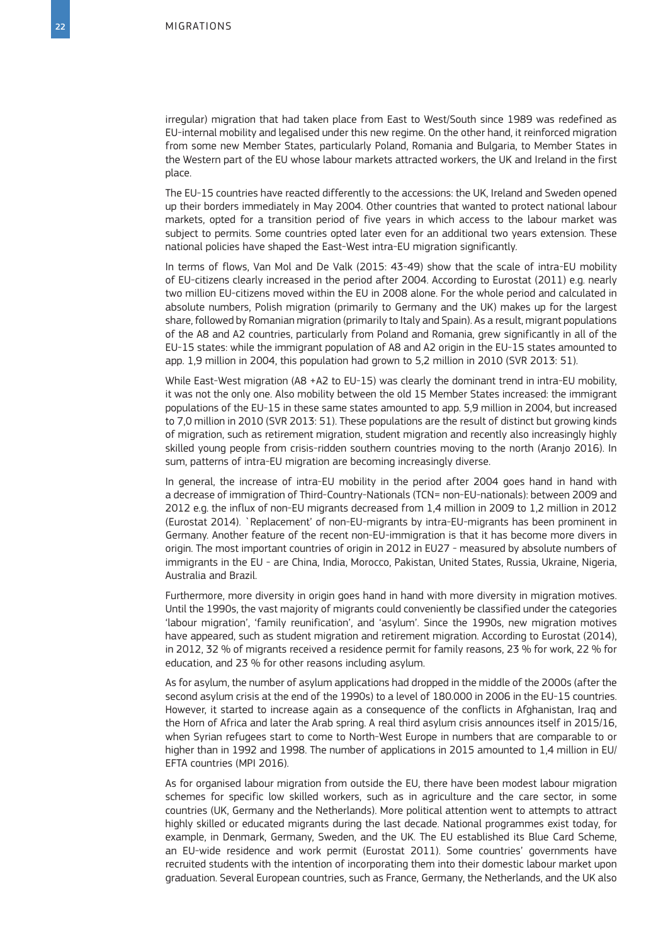irregular) migration that had taken place from East to West/South since 1989 was redefined as EU-internal mobility and legalised under this new regime. On the other hand, it reinforced migration from some new Member States, particularly Poland, Romania and Bulgaria, to Member States in the Western part of the EU whose labour markets attracted workers, the UK and Ireland in the first place.

The EU-15 countries have reacted differently to the accessions: the UK, Ireland and Sweden opened up their borders immediately in May 2004. Other countries that wanted to protect national labour markets, opted for a transition period of five years in which access to the labour market was subject to permits. Some countries opted later even for an additional two years extension. These national policies have shaped the East-West intra-EU migration significantly.

In terms of flows, Van Mol and De Valk (2015: 43-49) show that the scale of intra-EU mobility of EU-citizens clearly increased in the period after 2004. According to Eurostat (2011) e.g. nearly two million EU-citizens moved within the EU in 2008 alone. For the whole period and calculated in absolute numbers, Polish migration (primarily to Germany and the UK) makes up for the largest share, followed by Romanian migration (primarily to Italy and Spain). As a result, migrant populations of the A8 and A2 countries, particularly from Poland and Romania, grew significantly in all of the EU-15 states: while the immigrant population of A8 and A2 origin in the EU-15 states amounted to app. 1,9 million in 2004, this population had grown to 5,2 million in 2010 (SVR 2013: 51).

While East-West migration (A8 +A2 to EU-15) was clearly the dominant trend in intra-EU mobility, it was not the only one. Also mobility between the old 15 Member States increased: the immigrant populations of the EU-15 in these same states amounted to app. 5,9 million in 2004, but increased to 7,0 million in 2010 (SVR 2013: 51). These populations are the result of distinct but growing kinds of migration, such as retirement migration, student migration and recently also increasingly highly skilled young people from crisis-ridden southern countries moving to the north (Aranjo 2016). In sum, patterns of intra-EU migration are becoming increasingly diverse.

In general, the increase of intra-EU mobility in the period after 2004 goes hand in hand with a decrease of immigration of Third-Country-Nationals (TCN= non-EU-nationals): between 2009 and 2012 e.g. the influx of non-EU migrants decreased from 1,4 million in 2009 to 1,2 million in 2012 (Eurostat 2014). `Replacement' of non-EU-migrants by intra-EU-migrants has been prominent in Germany. Another feature of the recent non-EU-immigration is that it has become more divers in origin. The most important countries of origin in 2012 in EU27 - measured by absolute numbers of immigrants in the EU - are China, India, Morocco, Pakistan, United States, Russia, Ukraine, Nigeria, Australia and Brazil.

Furthermore, more diversity in origin goes hand in hand with more diversity in migration motives. Until the 1990s, the vast majority of migrants could conveniently be classified under the categories 'labour migration', 'family reunification', and 'asylum'. Since the 1990s, new migration motives have appeared, such as student migration and retirement migration. According to Eurostat (2014), in 2012, 32 % of migrants received a residence permit for family reasons, 23 % for work, 22 % for education, and 23 % for other reasons including asylum.

As for asylum, the number of asylum applications had dropped in the middle of the 2000s (after the second asylum crisis at the end of the 1990s) to a level of 180.000 in 2006 in the EU-15 countries. However, it started to increase again as a consequence of the conflicts in Afghanistan, Iraq and the Horn of Africa and later the Arab spring. A real third asylum crisis announces itself in 2015/16, when Syrian refugees start to come to North-West Europe in numbers that are comparable to or higher than in 1992 and 1998. The number of applications in 2015 amounted to 1,4 million in EU/ EFTA countries (MPI 2016).

As for organised labour migration from outside the EU, there have been modest labour migration schemes for specific low skilled workers, such as in agriculture and the care sector, in some countries (UK, Germany and the Netherlands). More political attention went to attempts to attract highly skilled or educated migrants during the last decade. National programmes exist today, for example, in Denmark, Germany, Sweden, and the UK. The EU established its Blue Card Scheme, an EU-wide residence and work permit (Eurostat 2011). Some countries' governments have recruited students with the intention of incorporating them into their domestic labour market upon graduation. Several European countries, such as France, Germany, the Netherlands, and the UK also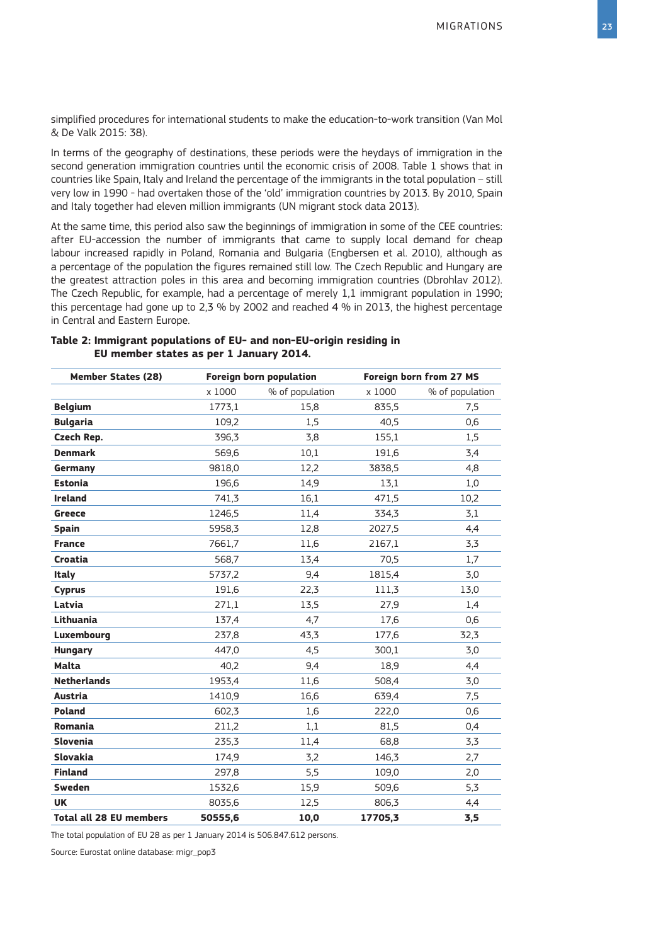simplified procedures for international students to make the education-to-work transition (Van Mol & De Valk 2015: 38).

In terms of the geography of destinations, these periods were the heydays of immigration in the second generation immigration countries until the economic crisis of 2008. Table 1 shows that in countries like Spain, Italy and Ireland the percentage of the immigrants in the total population – still very low in 1990 - had overtaken those of the 'old' immigration countries by 2013. By 2010, Spain and Italy together had eleven million immigrants (UN migrant stock data 2013).

At the same time, this period also saw the beginnings of immigration in some of the CEE countries: after EU-accession the number of immigrants that came to supply local demand for cheap labour increased rapidly in Poland, Romania and Bulgaria (Engbersen et al. 2010), although as a percentage of the population the figures remained still low. The Czech Republic and Hungary are the greatest attraction poles in this area and becoming immigration countries (Dbrohlav 2012). The Czech Republic, for example, had a percentage of merely 1,1 immigrant population in 1990; this percentage had gone up to 2,3 % by 2002 and reached 4 % in 2013, the highest percentage in Central and Eastern Europe.

| <b>Member States (28)</b> | Foreign born population |                 | Foreign born from 27 MS |                 |
|---------------------------|-------------------------|-----------------|-------------------------|-----------------|
|                           | x 1000                  | % of population | x 1000                  | % of population |
| <b>Belgium</b>            | 1773,1                  | 15,8            | 835,5                   | 7.5             |
| <b>Bulgaria</b>           | 109,2                   | 1,5             | 40,5                    | 0,6             |
| Czech Rep.                | 396,3                   | 3,8             | 155,1                   | 1,5             |
| <b>Denmark</b>            | 569,6                   | 10,1            | 191,6                   | 3,4             |
| Germany                   | 9818,0                  | 12,2            | 3838,5                  | 4,8             |
| <b>Estonia</b>            | 196,6                   | 14.9            | 13.1                    | 1,0             |
| <b>Ireland</b>            | 741,3                   | 16,1            | 471,5                   | 10,2            |
| <b>Greece</b>             | 1246.5                  | 11,4            | 334,3                   | 3,1             |
| <b>Spain</b>              | 5958,3                  | 12,8            | 2027,5                  | 4,4             |
| <b>France</b>             | 7661,7                  | 11,6            | 2167,1                  | 3,3             |
| Croatia                   | 568,7                   | 13,4            | 70.5                    | 1,7             |
| <b>Italy</b>              | 5737,2                  | 9,4             | 1815,4                  | 3,0             |
| <b>Cyprus</b>             | 191,6                   | 22,3            | 111,3                   | 13,0            |
| Latvia                    | 271,1                   | 13,5            | 27,9                    | 1,4             |
| Lithuania                 | 137,4                   | 4,7             | 17,6                    | 0,6             |
| Luxembourg                | 237,8                   | 43,3            | 177,6                   | 32,3            |
| <b>Hungary</b>            | 447,0                   | 4,5             | 300,1                   | 3,0             |
| <b>Malta</b>              | 40,2                    | 9,4             | 18,9                    | 4,4             |
| <b>Netherlands</b>        | 1953,4                  | 11,6            | 508,4                   | 3,0             |
| Austria                   | 1410,9                  | 16,6            | 639,4                   | 7,5             |

**Poland** 602,3 1,6 222,0 0,6 **Romania** 211,2 1,1 81,5 0,4 **Slovenia** 235,3 11,4 68,8 3,3 **Slovakia** 174,9 3,2 146,3 2,7 **Finland** 297,8 5,5 109,0 2,0 **Sweden** 1532,6 15,3 509,6 5,3 **UK** 8035,6 12,5 806,3 4,4 **Total all 28 EU members 50555,6 10,0 17705,3 3,5**

#### **Table 2: Immigrant populations of EU- and non-EU-origin residing in EU member states as per 1 January 2014.**

The total population of EU 28 as per 1 January 2014 is 506.847.612 persons.

Source: Eurostat online database: migr\_pop3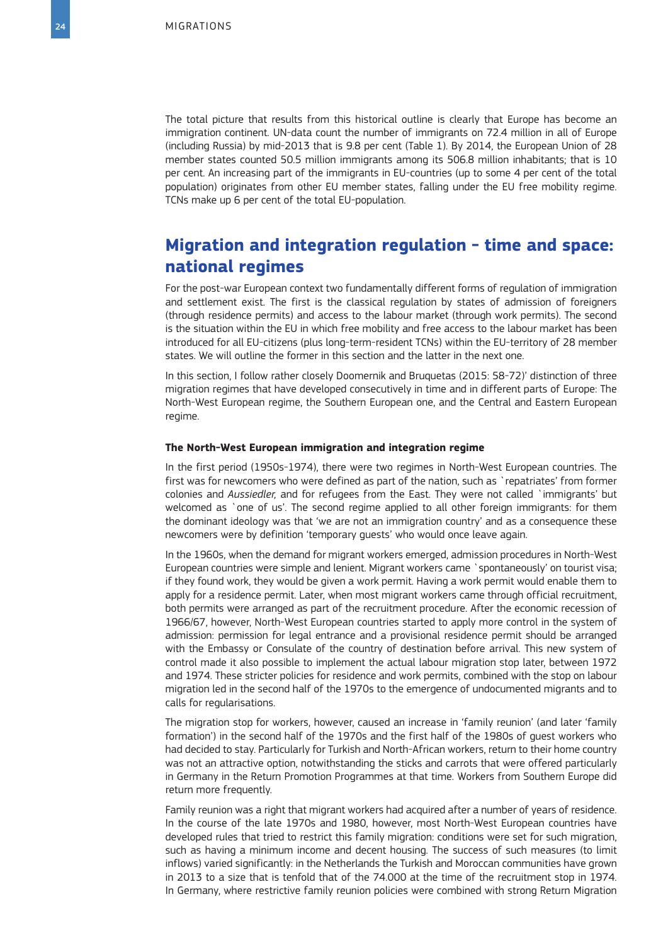The total picture that results from this historical outline is clearly that Europe has become an immigration continent. UN-data count the number of immigrants on 72.4 million in all of Europe (including Russia) by mid-2013 that is 9.8 per cent (Table 1). By 2014, the European Union of 28 member states counted 50.5 million immigrants among its 506.8 million inhabitants; that is 10 per cent. An increasing part of the immigrants in EU-countries (up to some 4 per cent of the total population) originates from other EU member states, falling under the EU free mobility regime. TCNs make up 6 per cent of the total EU-population.

# **Migration and integration regulation - time and space: national regimes**

For the post-war European context two fundamentally different forms of regulation of immigration and settlement exist. The first is the classical regulation by states of admission of foreigners (through residence permits) and access to the labour market (through work permits). The second is the situation within the EU in which free mobility and free access to the labour market has been introduced for all EU-citizens (plus long-term-resident TCNs) within the EU-territory of 28 member states. We will outline the former in this section and the latter in the next one.

In this section, I follow rather closely Doomernik and Bruquetas (2015: 58-72)' distinction of three migration regimes that have developed consecutively in time and in different parts of Europe: The North-West European regime, the Southern European one, and the Central and Eastern European regime.

#### **The North-West European immigration and integration regime**

In the first period (1950s-1974), there were two regimes in North-West European countries. The first was for newcomers who were defined as part of the nation, such as `repatriates' from former colonies and *Aussiedler,* and for refugees from the East. They were not called `immigrants' but welcomed as `one of us'. The second regime applied to all other foreign immigrants: for them the dominant ideology was that 'we are not an immigration country' and as a consequence these newcomers were by definition 'temporary guests' who would once leave again.

In the 1960s, when the demand for migrant workers emerged, admission procedures in North-West European countries were simple and lenient. Migrant workers came `spontaneously' on tourist visa; if they found work, they would be given a work permit. Having a work permit would enable them to apply for a residence permit. Later, when most migrant workers came through official recruitment, both permits were arranged as part of the recruitment procedure. After the economic recession of 1966/67, however, North-West European countries started to apply more control in the system of admission: permission for legal entrance and a provisional residence permit should be arranged with the Embassy or Consulate of the country of destination before arrival. This new system of control made it also possible to implement the actual labour migration stop later, between 1972 and 1974. These stricter policies for residence and work permits, combined with the stop on labour migration led in the second half of the 1970s to the emergence of undocumented migrants and to calls for regularisations.

The migration stop for workers, however, caused an increase in 'family reunion' (and later 'family formation') in the second half of the 1970s and the first half of the 1980s of guest workers who had decided to stay. Particularly for Turkish and North-African workers, return to their home country was not an attractive option, notwithstanding the sticks and carrots that were offered particularly in Germany in the Return Promotion Programmes at that time. Workers from Southern Europe did return more frequently.

Family reunion was a right that migrant workers had acquired after a number of years of residence. In the course of the late 1970s and 1980, however, most North-West European countries have developed rules that tried to restrict this family migration: conditions were set for such migration, such as having a minimum income and decent housing. The success of such measures (to limit inflows) varied significantly: in the Netherlands the Turkish and Moroccan communities have grown in 2013 to a size that is tenfold that of the 74.000 at the time of the recruitment stop in 1974. In Germany, where restrictive family reunion policies were combined with strong Return Migration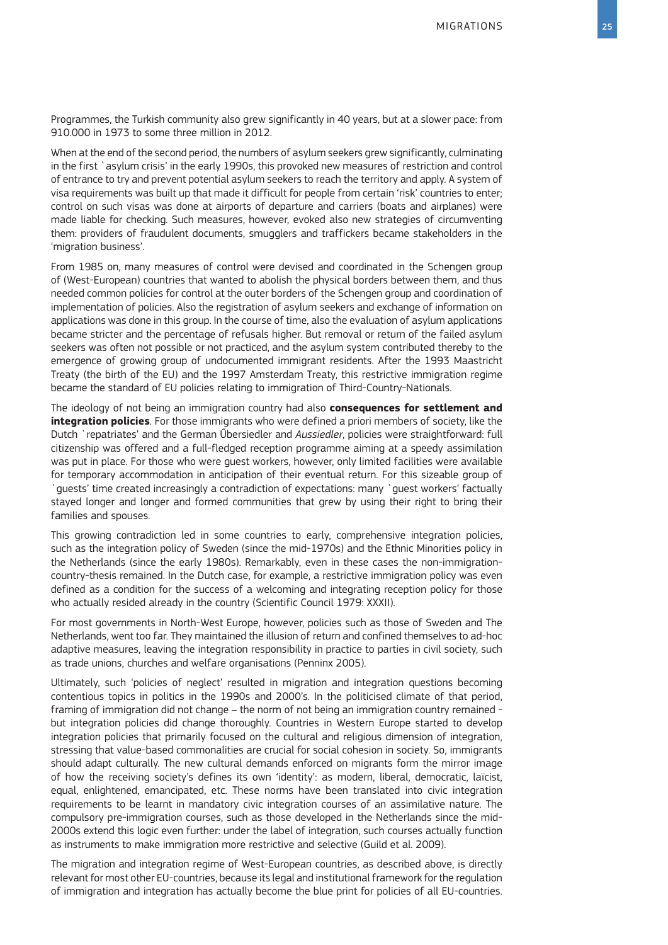Programmes, the Turkish community also grew significantly in 40 years, but at a slower pace: from 910.000 in 1973 to some three million in 2012.

When at the end of the second period, the numbers of asylum seekers grew significantly, culminating in the first `asylum crisis' in the early 1990s, this provoked new measures of restriction and control of entrance to try and prevent potential asylum seekers to reach the territory and apply. A system of visa requirements was built up that made it difficult for people from certain 'risk' countries to enter; control on such visas was done at airports of departure and carriers (boats and airplanes) were made liable for checking. Such measures, however, evoked also new strategies of circumventing them: providers of fraudulent documents, smugglers and traffickers became stakeholders in the 'migration business'.

From 1985 on, many measures of control were devised and coordinated in the Schengen group of (West-European) countries that wanted to abolish the physical borders between them, and thus needed common policies for control at the outer borders of the Schengen group and coordination of implementation of policies. Also the registration of asylum seekers and exchange of information on applications was done in this group. In the course of time, also the evaluation of asylum applications became stricter and the percentage of refusals higher. But removal or return of the failed asylum seekers was often not possible or not practiced, and the asylum system contributed thereby to the emergence of growing group of undocumented immigrant residents. After the 1993 Maastricht Treaty (the birth of the EU) and the 1997 Amsterdam Treaty, this restrictive immigration regime became the standard of EU policies relating to immigration of Third-Country-Nationals.

The ideology of not being an immigration country had also **consequences for settlement and integration policies**. For those immigrants who were defined a priori members of society, like the Dutch `repatriates' and the German Űbersiedler and *Aussiedler*, policies were straightforward: full citizenship was offered and a full-fledged reception programme aiming at a speedy assimilation was put in place. For those who were guest workers, however, only limited facilities were available for temporary accommodation in anticipation of their eventual return. For this sizeable group of `guests' time created increasingly a contradiction of expectations: many `guest workers' factually stayed longer and longer and formed communities that grew by using their right to bring their families and spouses.

This growing contradiction led in some countries to early, comprehensive integration policies, such as the integration policy of Sweden (since the mid-1970s) and the Ethnic Minorities policy in the Netherlands (since the early 1980s). Remarkably, even in these cases the non-immigrationcountry-thesis remained. In the Dutch case, for example, a restrictive immigration policy was even defined as a condition for the success of a welcoming and integrating reception policy for those who actually resided already in the country (Scientific Council 1979: XXXII).

For most governments in North-West Europe, however, policies such as those of Sweden and The Netherlands, went too far. They maintained the illusion of return and confined themselves to ad-hoc adaptive measures, leaving the integration responsibility in practice to parties in civil society, such as trade unions, churches and welfare organisations (Penninx 2005).

Ultimately, such 'policies of neglect' resulted in migration and integration questions becoming contentious topics in politics in the 1990s and 2000's. In the politicised climate of that period, framing of immigration did not change – the norm of not being an immigration country remained but integration policies did change thoroughly. Countries in Western Europe started to develop integration policies that primarily focused on the cultural and religious dimension of integration, stressing that value-based commonalities are crucial for social cohesion in society. So, immigrants should adapt culturally. The new cultural demands enforced on migrants form the mirror image of how the receiving society's defines its own 'identity': as modern, liberal, democratic, laïcist, equal, enlightened, emancipated, etc. These norms have been translated into civic integration requirements to be learnt in mandatory civic integration courses of an assimilative nature. The compulsory pre-immigration courses, such as those developed in the Netherlands since the mid-2000s extend this logic even further: under the label of integration, such courses actually function as instruments to make immigration more restrictive and selective (Guild et al. 2009).

The migration and integration regime of West-European countries, as described above, is directly relevant for most other EU-countries, because its legal and institutional framework for the regulation of immigration and integration has actually become the blue print for policies of all EU-countries.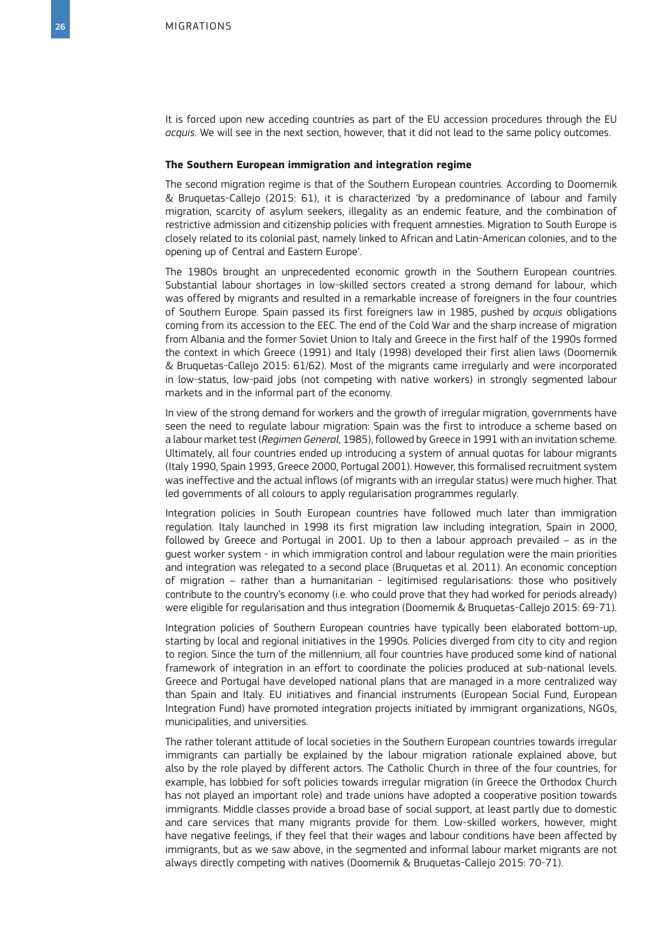It is forced upon new acceding countries as part of the EU accession procedures through the EU *acquis*. We will see in the next section, however, that it did not lead to the same policy outcomes.

#### **The Southern European immigration and integration regime**

The second migration regime is that of the Southern European countries. According to Doomernik & Bruquetas-Callejo (2015: 61), it is characterized 'by a predominance of labour and family migration, scarcity of asylum seekers, illegality as an endemic feature, and the combination of restrictive admission and citizenship policies with frequent amnesties. Migration to South Europe is closely related to its colonial past, namely linked to African and Latin-American colonies, and to the opening up of Central and Eastern Europe'.

The 1980s brought an unprecedented economic growth in the Southern European countries. Substantial labour shortages in low-skilled sectors created a strong demand for labour, which was offered by migrants and resulted in a remarkable increase of foreigners in the four countries of Southern Europe. Spain passed its first foreigners law in 1985, pushed by *acquis* obligations coming from its accession to the EEC. The end of the Cold War and the sharp increase of migration from Albania and the former Soviet Union to Italy and Greece in the first half of the 1990s formed the context in which Greece (1991) and Italy (1998) developed their first alien laws (Doomernik & Bruquetas-Callejo 2015: 61/62). Most of the migrants came irregularly and were incorporated in low-status, low-paid jobs (not competing with native workers) in strongly segmented labour markets and in the informal part of the economy.

In view of the strong demand for workers and the growth of irregular migration, governments have seen the need to regulate labour migration: Spain was the first to introduce a scheme based on a labour market test (*Regimen General,* 1985), followed by Greece in 1991 with an invitation scheme. Ultimately, all four countries ended up introducing a system of annual quotas for labour migrants (Italy 1990, Spain 1993, Greece 2000, Portugal 2001). However, this formalised recruitment system was ineffective and the actual inflows (of migrants with an irregular status) were much higher. That led governments of all colours to apply regularisation programmes regularly.

Integration policies in South European countries have followed much later than immigration regulation. Italy launched in 1998 its first migration law including integration, Spain in 2000, followed by Greece and Portugal in 2001. Up to then a labour approach prevailed – as in the guest worker system - in which immigration control and labour regulation were the main priorities and integration was relegated to a second place (Bruquetas et al. 2011). An economic conception of migration – rather than a humanitarian - legitimised regularisations: those who positively contribute to the country's economy (i.e. who could prove that they had worked for periods already) were eligible for regularisation and thus integration (Doomernik & Bruquetas-Callejo 2015: 69-71).

Integration policies of Southern European countries have typically been elaborated bottom-up, starting by local and regional initiatives in the 1990s. Policies diverged from city to city and region to region. Since the turn of the millennium, all four countries have produced some kind of national framework of integration in an effort to coordinate the policies produced at sub-national levels. Greece and Portugal have developed national plans that are managed in a more centralized way than Spain and Italy. EU initiatives and financial instruments (European Social Fund, European Integration Fund) have promoted integration projects initiated by immigrant organizations, NGOs, municipalities, and universities.

The rather tolerant attitude of local societies in the Southern European countries towards irregular immigrants can partially be explained by the labour migration rationale explained above, but also by the role played by different actors. The Catholic Church in three of the four countries, for example, has lobbied for soft policies towards irregular migration (in Greece the Orthodox Church has not played an important role) and trade unions have adopted a cooperative position towards immigrants. Middle classes provide a broad base of social support, at least partly due to domestic and care services that many migrants provide for them. Low-skilled workers, however, might have negative feelings, if they feel that their wages and labour conditions have been affected by immigrants, but as we saw above, in the segmented and informal labour market migrants are not always directly competing with natives (Doomernik & Bruquetas-Callejo 2015: 70-71).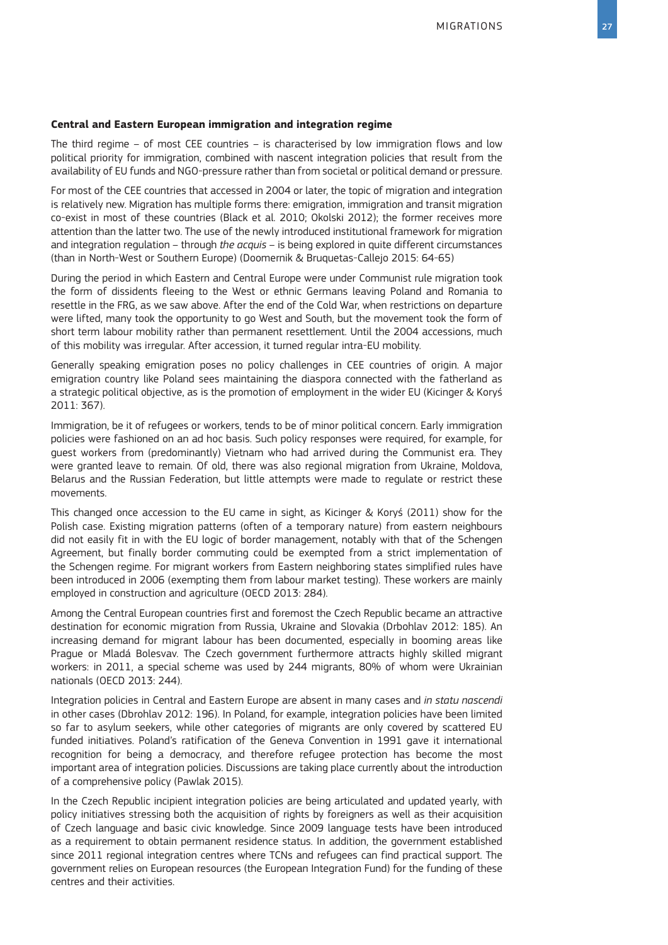#### **Central and Eastern European immigration and integration regime**

The third regime – of most CEE countries – is characterised by low immigration flows and low political priority for immigration, combined with nascent integration policies that result from the availability of EU funds and NGO-pressure rather than from societal or political demand or pressure.

For most of the CEE countries that accessed in 2004 or later, the topic of migration and integration is relatively new. Migration has multiple forms there: emigration, immigration and transit migration co-exist in most of these countries (Black et al. 2010; Okolski 2012); the former receives more attention than the latter two. The use of the newly introduced institutional framework for migration and integration regulation – through *the acquis* – is being explored in quite different circumstances (than in North-West or Southern Europe) (Doomernik & Bruquetas-Callejo 2015: 64-65)

During the period in which Eastern and Central Europe were under Communist rule migration took the form of dissidents fleeing to the West or ethnic Germans leaving Poland and Romania to resettle in the FRG, as we saw above. After the end of the Cold War, when restrictions on departure were lifted, many took the opportunity to go West and South, but the movement took the form of short term labour mobility rather than permanent resettlement. Until the 2004 accessions, much of this mobility was irregular. After accession, it turned regular intra-EU mobility.

Generally speaking emigration poses no policy challenges in CEE countries of origin. A major emigration country like Poland sees maintaining the diaspora connected with the fatherland as a strategic political objective, as is the promotion of employment in the wider EU (Kicinger & Koryś 2011: 367).

Immigration, be it of refugees or workers, tends to be of minor political concern. Early immigration policies were fashioned on an ad hoc basis. Such policy responses were required, for example, for guest workers from (predominantly) Vietnam who had arrived during the Communist era. They were granted leave to remain. Of old, there was also regional migration from Ukraine, Moldova, Belarus and the Russian Federation, but little attempts were made to regulate or restrict these movements.

This changed once accession to the EU came in sight, as Kicinger & Koryś (2011) show for the Polish case. Existing migration patterns (often of a temporary nature) from eastern neighbours did not easily fit in with the EU logic of border management, notably with that of the Schengen Agreement, but finally border commuting could be exempted from a strict implementation of the Schengen regime. For migrant workers from Eastern neighboring states simplified rules have been introduced in 2006 (exempting them from labour market testing). These workers are mainly employed in construction and agriculture (OECD 2013: 284).

Among the Central European countries first and foremost the Czech Republic became an attractive destination for economic migration from Russia, Ukraine and Slovakia (Drbohlav 2012: 185). An increasing demand for migrant labour has been documented, especially in booming areas like Prague or Mladá Bolesvav. The Czech government furthermore attracts highly skilled migrant workers: in 2011, a special scheme was used by 244 migrants, 80% of whom were Ukrainian nationals (OECD 2013: 244).

Integration policies in Central and Eastern Europe are absent in many cases and *in statu nascendi* in other cases (Dbrohlav 2012: 196). In Poland, for example, integration policies have been limited so far to asylum seekers, while other categories of migrants are only covered by scattered EU funded initiatives. Poland's ratification of the Geneva Convention in 1991 gave it international recognition for being a democracy, and therefore refugee protection has become the most important area of integration policies. Discussions are taking place currently about the introduction of a comprehensive policy (Pawlak 2015).

In the Czech Republic incipient integration policies are being articulated and updated yearly, with policy initiatives stressing both the acquisition of rights by foreigners as well as their acquisition of Czech language and basic civic knowledge. Since 2009 language tests have been introduced as a requirement to obtain permanent residence status. In addition, the government established since 2011 regional integration centres where TCNs and refugees can find practical support. The government relies on European resources (the European Integration Fund) for the funding of these centres and their activities.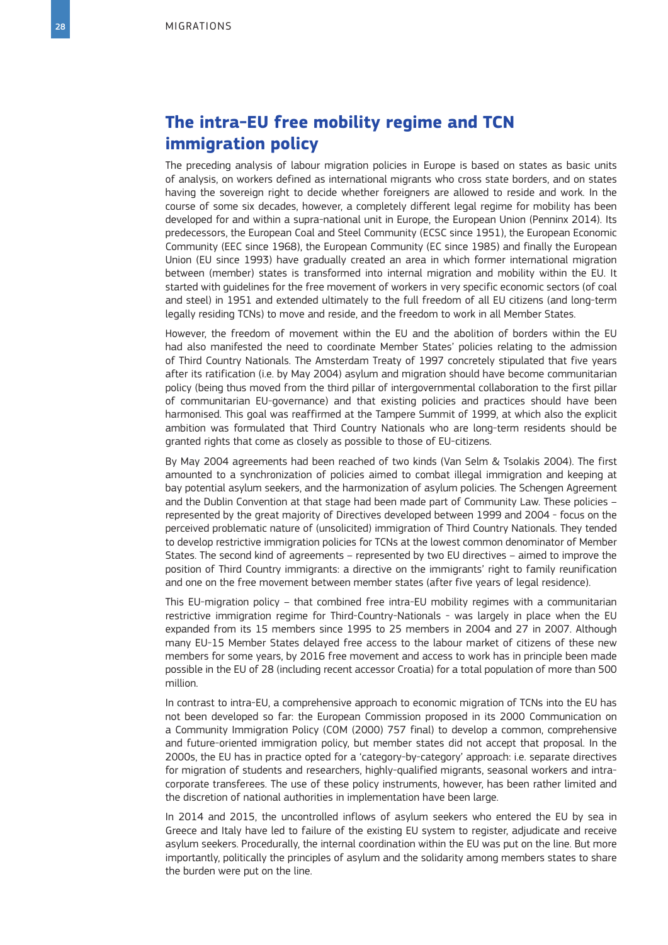# **The intra-EU free mobility regime and TCN immigration policy**

The preceding analysis of labour migration policies in Europe is based on states as basic units of analysis, on workers defined as international migrants who cross state borders, and on states having the sovereign right to decide whether foreigners are allowed to reside and work. In the course of some six decades, however, a completely different legal regime for mobility has been developed for and within a supra-national unit in Europe, the European Union (Penninx 2014). Its predecessors, the European Coal and Steel Community (ECSC since 1951), the European Economic Community (EEC since 1968), the European Community (EC since 1985) and finally the European Union (EU since 1993) have gradually created an area in which former international migration between (member) states is transformed into internal migration and mobility within the EU. It started with guidelines for the free movement of workers in very specific economic sectors (of coal and steel) in 1951 and extended ultimately to the full freedom of all EU citizens (and long-term legally residing TCNs) to move and reside, and the freedom to work in all Member States.

However, the freedom of movement within the EU and the abolition of borders within the EU had also manifested the need to coordinate Member States' policies relating to the admission of Third Country Nationals. The Amsterdam Treaty of 1997 concretely stipulated that five years after its ratification (i.e. by May 2004) asylum and migration should have become communitarian policy (being thus moved from the third pillar of intergovernmental collaboration to the first pillar of communitarian EU-governance) and that existing policies and practices should have been harmonised. This goal was reaffirmed at the Tampere Summit of 1999, at which also the explicit ambition was formulated that Third Country Nationals who are long-term residents should be granted rights that come as closely as possible to those of EU-citizens.

By May 2004 agreements had been reached of two kinds (Van Selm & Tsolakis 2004). The first amounted to a synchronization of policies aimed to combat illegal immigration and keeping at bay potential asylum seekers, and the harmonization of asylum policies. The Schengen Agreement and the Dublin Convention at that stage had been made part of Community Law. These policies – represented by the great majority of Directives developed between 1999 and 2004 - focus on the perceived problematic nature of (unsolicited) immigration of Third Country Nationals. They tended to develop restrictive immigration policies for TCNs at the lowest common denominator of Member States. The second kind of agreements – represented by two EU directives – aimed to improve the position of Third Country immigrants: a directive on the immigrants' right to family reunification and one on the free movement between member states (after five years of legal residence).

This EU-migration policy – that combined free intra-EU mobility regimes with a communitarian restrictive immigration regime for Third-Country-Nationals - was largely in place when the EU expanded from its 15 members since 1995 to 25 members in 2004 and 27 in 2007. Although many EU-15 Member States delayed free access to the labour market of citizens of these new members for some years, by 2016 free movement and access to work has in principle been made possible in the EU of 28 (including recent accessor Croatia) for a total population of more than 500 million.

In contrast to intra-EU, a comprehensive approach to economic migration of TCNs into the EU has not been developed so far: the European Commission proposed in its 2000 Communication on a Community Immigration Policy (COM (2000) 757 final) to develop a common, comprehensive and future-oriented immigration policy, but member states did not accept that proposal. In the 2000s, the EU has in practice opted for a 'category-by-category' approach: i.e. separate directives for migration of students and researchers, highly-qualified migrants, seasonal workers and intracorporate transferees. The use of these policy instruments, however, has been rather limited and the discretion of national authorities in implementation have been large.

In 2014 and 2015, the uncontrolled inflows of asylum seekers who entered the EU by sea in Greece and Italy have led to failure of the existing EU system to register, adjudicate and receive asylum seekers. Procedurally, the internal coordination within the EU was put on the line. But more importantly, politically the principles of asylum and the solidarity among members states to share the burden were put on the line.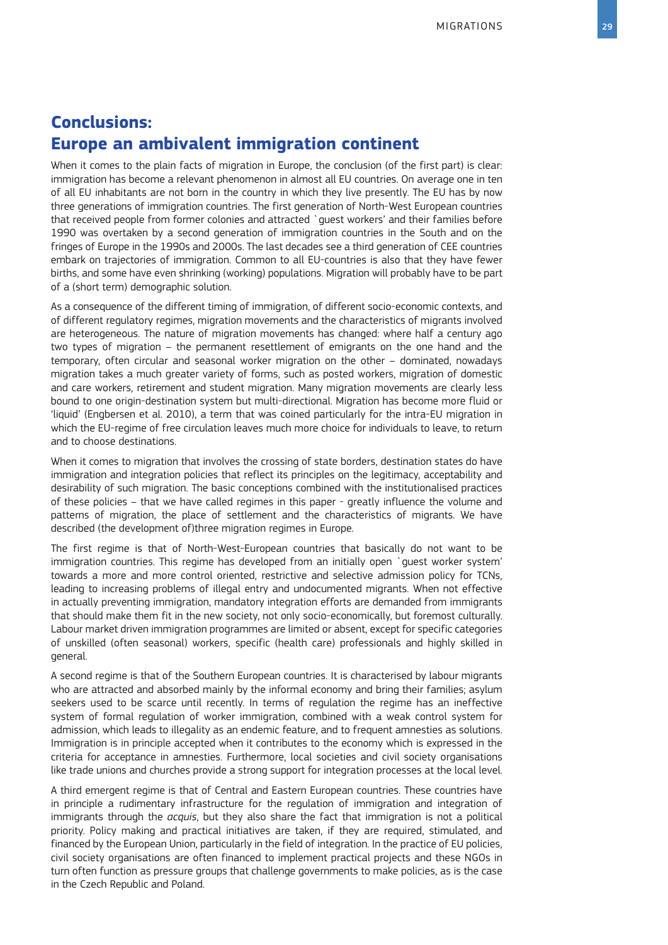# **Conclusions: Europe an ambivalent immigration continent**

When it comes to the plain facts of migration in Europe, the conclusion (of the first part) is clear: immigration has become a relevant phenomenon in almost all EU countries. On average one in ten of all EU inhabitants are not born in the country in which they live presently. The EU has by now three generations of immigration countries. The first generation of North-West European countries that received people from former colonies and attracted `guest workers' and their families before 1990 was overtaken by a second generation of immigration countries in the South and on the fringes of Europe in the 1990s and 2000s. The last decades see a third generation of CEE countries embark on trajectories of immigration. Common to all EU-countries is also that they have fewer births, and some have even shrinking (working) populations. Migration will probably have to be part of a (short term) demographic solution.

As a consequence of the different timing of immigration, of different socio-economic contexts, and of different regulatory regimes, migration movements and the characteristics of migrants involved are heterogeneous. The nature of migration movements has changed: where half a century ago two types of migration – the permanent resettlement of emigrants on the one hand and the temporary, often circular and seasonal worker migration on the other – dominated, nowadays migration takes a much greater variety of forms, such as posted workers, migration of domestic and care workers, retirement and student migration. Many migration movements are clearly less bound to one origin-destination system but multi-directional. Migration has become more fluid or 'liquid' (Engbersen et al. 2010), a term that was coined particularly for the intra-EU migration in which the EU-regime of free circulation leaves much more choice for individuals to leave, to return and to choose destinations.

When it comes to migration that involves the crossing of state borders, destination states do have immigration and integration policies that reflect its principles on the legitimacy, acceptability and desirability of such migration. The basic conceptions combined with the institutionalised practices of these policies – that we have called regimes in this paper - greatly influence the volume and patterns of migration, the place of settlement and the characteristics of migrants. We have described (the development of)three migration regimes in Europe.

The first regime is that of North-West-European countries that basically do not want to be immigration countries. This regime has developed from an initially open `guest worker system' towards a more and more control oriented, restrictive and selective admission policy for TCNs, leading to increasing problems of illegal entry and undocumented migrants. When not effective in actually preventing immigration, mandatory integration efforts are demanded from immigrants that should make them fit in the new society, not only socio-economically, but foremost culturally. Labour market driven immigration programmes are limited or absent, except for specific categories of unskilled (often seasonal) workers, specific (health care) professionals and highly skilled in general.

A second regime is that of the Southern European countries. It is characterised by labour migrants who are attracted and absorbed mainly by the informal economy and bring their families; asylum seekers used to be scarce until recently. In terms of regulation the regime has an ineffective system of formal regulation of worker immigration, combined with a weak control system for admission, which leads to illegality as an endemic feature, and to frequent amnesties as solutions. Immigration is in principle accepted when it contributes to the economy which is expressed in the criteria for acceptance in amnesties. Furthermore, local societies and civil society organisations like trade unions and churches provide a strong support for integration processes at the local level.

A third emergent regime is that of Central and Eastern European countries. These countries have in principle a rudimentary infrastructure for the regulation of immigration and integration of immigrants through the *acquis*, but they also share the fact that immigration is not a political priority. Policy making and practical initiatives are taken, if they are required, stimulated, and financed by the European Union, particularly in the field of integration. In the practice of EU policies, civil society organisations are often financed to implement practical projects and these NGOs in turn often function as pressure groups that challenge governments to make policies, as is the case in the Czech Republic and Poland.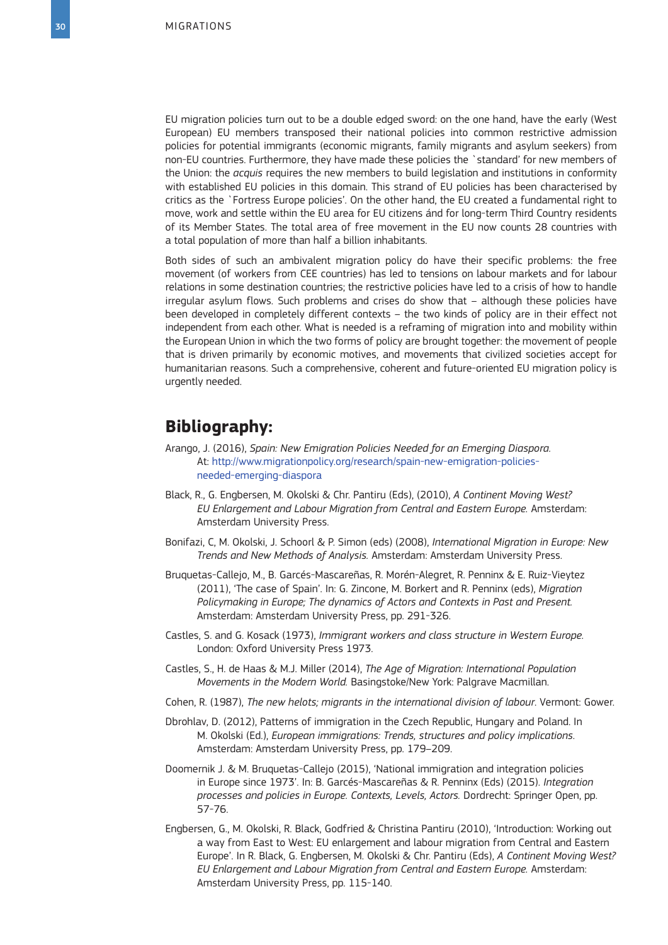EU migration policies turn out to be a double edged sword: on the one hand, have the early (West European) EU members transposed their national policies into common restrictive admission policies for potential immigrants (economic migrants, family migrants and asylum seekers) from non-EU countries. Furthermore, they have made these policies the `standard' for new members of the Union: the *acquis* requires the new members to build legislation and institutions in conformity with established EU policies in this domain. This strand of EU policies has been characterised by critics as the `Fortress Europe policies'. On the other hand, the EU created a fundamental right to move, work and settle within the EU area for EU citizens ánd for long-term Third Country residents of its Member States. The total area of free movement in the EU now counts 28 countries with a total population of more than half a billion inhabitants.

Both sides of such an ambivalent migration policy do have their specific problems: the free movement (of workers from CEE countries) has led to tensions on labour markets and for labour relations in some destination countries; the restrictive policies have led to a crisis of how to handle irregular asylum flows. Such problems and crises do show that – although these policies have been developed in completely different contexts – the two kinds of policy are in their effect not independent from each other. What is needed is a reframing of migration into and mobility within the European Union in which the two forms of policy are brought together: the movement of people that is driven primarily by economic motives, and movements that civilized societies accept for humanitarian reasons. Such a comprehensive, coherent and future-oriented EU migration policy is urgently needed.

### **Bibliography:**

- Arango, J. (2016), *Spain: New Emigration Policies Needed for an Emerging Diaspora.* At: [http://www.migrationpolicy.org/research/spain-new-emigration-policies](http://www.migrationpolicy.org/research/spain-new-emigration-policies-needed-emerging-diaspor)[needed-emerging-diaspora](http://www.migrationpolicy.org/research/spain-new-emigration-policies-needed-emerging-diaspor)
- Black, R., G. Engbersen, M. Okolski & Chr. Pantiru (Eds), (2010), *A Continent Moving West? EU Enlargement and Labour Migration from Central and Eastern Europe.* Amsterdam: Amsterdam University Press.
- Bonifazi, C, M. Okolski, J. Schoorl & P. Simon (eds) (2008), *International Migration in Europe: New Trends and New Methods of Analysis.* Amsterdam: Amsterdam University Press.
- Bruquetas-Callejo, M., B. Garcés-Mascareñas, R. Morén-Alegret, R. Penninx & E. Ruiz-Vieytez (2011), 'The case of Spain'. In: G. Zincone, M. Borkert and R. Penninx (eds), *Migration Policymaking in Europe; The dynamics of Actors and Contexts in Past and Present.*  Amsterdam: Amsterdam University Press, pp. 291-326.
- Castles, S. and G. Kosack (1973), *Immigrant workers and class structure in Western Europe.* London: Oxford University Press 1973.
- Castles, S., H. de Haas & M.J. Miller (2014), *The Age of Migration: International Population Movements in the Modern World.* Basingstoke/New York: Palgrave Macmillan.
- Cohen, R. (1987), *The new helots; migrants in the international division of labour*. Vermont: Gower.
- Dbrohlav, D. (2012), Patterns of immigration in the Czech Republic, Hungary and Poland. In M. Okolski (Ed.), *European immigrations: Trends, structures and policy implications*. Amsterdam: Amsterdam University Press, pp. 179–209.
- Doomernik J. & M. Bruquetas-Callejo (2015), 'National immigration and integration policies in Europe since 1973'. In: B. Garcés-Mascareñas & R. Penninx (Eds) (2015). *Integration processes and policies in Europe. Contexts, Levels, Actors.* Dordrecht: Springer Open, pp. 57-76.
- Engbersen, G., M. Okolski, R. Black, Godfried & Christina Pantiru (2010), 'Introduction: Working out a way from East to West: EU enlargement and labour migration from Central and Eastern Europe'. In R. Black, G. Engbersen, M. Okolski & Chr. Pantiru (Eds), *A Continent Moving West? EU Enlargement and Labour Migration from Central and Eastern Europe.* Amsterdam: Amsterdam University Press, pp. 115-140.